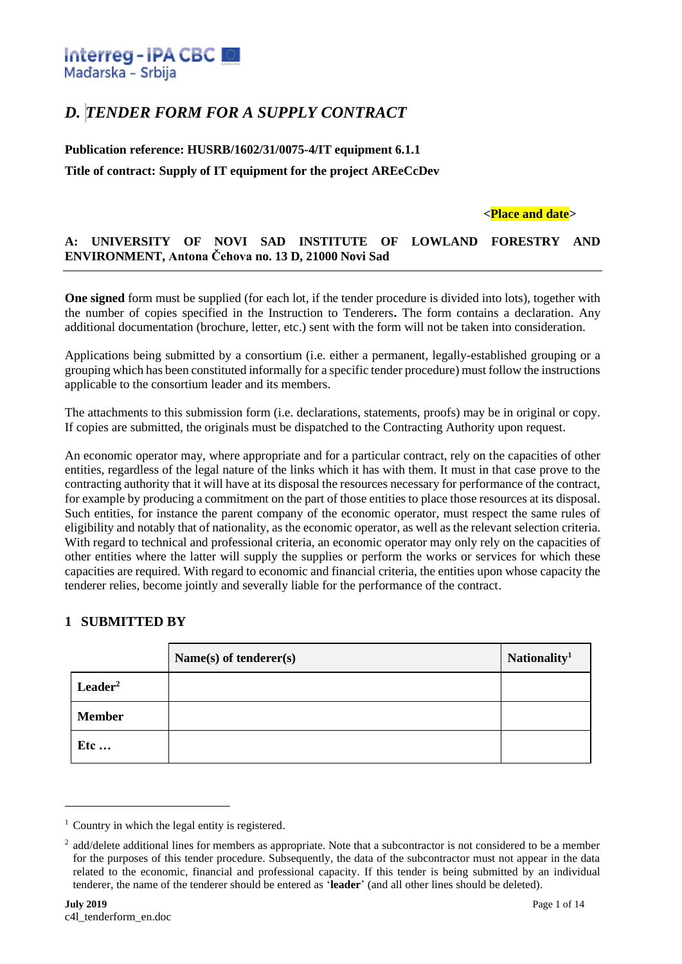

# *D. TENDER FORM FOR A SUPPLY CONTRACT*

## **Publication reference: HUSRB/1602/31/0075-4/IT equipment 6.1.1 Title of contract: Supply of IT equipment for the project AREeCcDev**

### **<Place and date>**

### **A: UNIVERSITY OF NOVI SAD INSTITUTE OF LOWLAND FORESTRY AND ENVIRONMENT, Antona Čehova no. 13 D, 21000 Novi Sad**

**One signed** form must be supplied (for each lot, if the tender procedure is divided into lots), together with the number of copies specified in the Instruction to Tenderers**.** The form contains a declaration. Any additional documentation (brochure, letter, etc.) sent with the form will not be taken into consideration.

Applications being submitted by a consortium (i.e. either a permanent, legally-established grouping or a grouping which has been constituted informally for a specific tender procedure) must follow the instructions applicable to the consortium leader and its members.

The attachments to this submission form (i.e. declarations, statements, proofs) may be in original or copy. If copies are submitted, the originals must be dispatched to the Contracting Authority upon request.

An economic operator may, where appropriate and for a particular contract, rely on the capacities of other entities, regardless of the legal nature of the links which it has with them. It must in that case prove to the contracting authority that it will have at its disposal the resources necessary for performance of the contract, for example by producing a commitment on the part of those entities to place those resources at its disposal. Such entities, for instance the parent company of the economic operator, must respect the same rules of eligibility and notably that of nationality, as the economic operator, as well as the relevant selection criteria. With regard to technical and professional criteria, an economic operator may only rely on the capacities of other entities where the latter will supply the supplies or perform the works or services for which these capacities are required. With regard to economic and financial criteria, the entities upon whose capacity the tenderer relies, become jointly and severally liable for the performance of the contract.

### **1 SUBMITTED BY**

|                     | Name(s) of tenderer(s) | Nationality <sup>1</sup> |
|---------------------|------------------------|--------------------------|
| Leader <sup>2</sup> |                        |                          |
| <b>Member</b>       |                        |                          |
| <b>Etc</b>          |                        |                          |

<sup>&</sup>lt;sup>1</sup> Country in which the legal entity is registered.

<sup>&</sup>lt;sup>2</sup> add/delete additional lines for members as appropriate. Note that a subcontractor is not considered to be a member for the purposes of this tender procedure. Subsequently, the data of the subcontractor must not appear in the data related to the economic, financial and professional capacity. If this tender is being submitted by an individual tenderer, the name of the tenderer should be entered as '**leader**' (and all other lines should be deleted).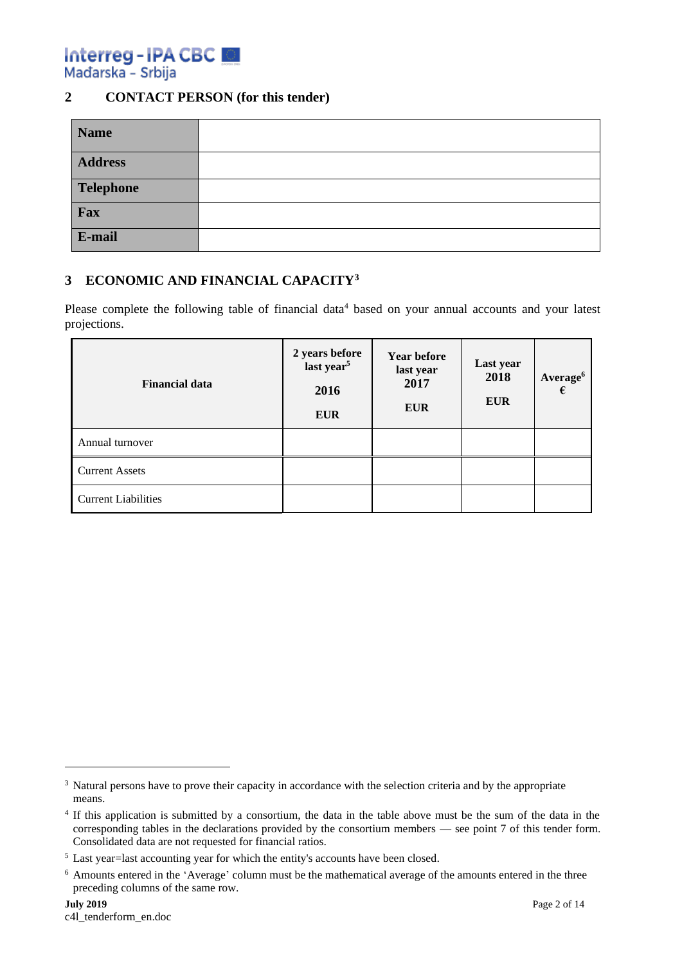Interreg-IPA CBC Mađarska - Srbija

### **2 CONTACT PERSON (for this tender)**

| <b>Name</b>    |  |
|----------------|--|
| <b>Address</b> |  |
| Telephone      |  |
| Fax            |  |
| E-mail         |  |

### **3 ECONOMIC AND FINANCIAL CAPACITY<sup>3</sup>**

Please complete the following table of financial data<sup>4</sup> based on your annual accounts and your latest projections.

| <b>Financial data</b>      | 2 years before<br>last year <sup>5</sup><br>2016<br><b>EUR</b> | <b>Year before</b><br>last year<br>2017<br><b>EUR</b> | Last year<br>2018<br><b>EUR</b> | Average <sup>6</sup><br>€ |
|----------------------------|----------------------------------------------------------------|-------------------------------------------------------|---------------------------------|---------------------------|
| Annual turnover            |                                                                |                                                       |                                 |                           |
| <b>Current Assets</b>      |                                                                |                                                       |                                 |                           |
| <b>Current Liabilities</b> |                                                                |                                                       |                                 |                           |

<sup>&</sup>lt;sup>3</sup> Natural persons have to prove their capacity in accordance with the selection criteria and by the appropriate means.

<sup>&</sup>lt;sup>4</sup> If this application is submitted by a consortium, the data in the table above must be the sum of the data in the corresponding tables in the declarations provided by the consortium members — see point 7 of this tender form. Consolidated data are not requested for financial ratios.

<sup>&</sup>lt;sup>5</sup> Last year=last accounting year for which the entity's accounts have been closed.

<sup>6</sup> Amounts entered in the 'Average' column must be the mathematical average of the amounts entered in the three preceding columns of the same row.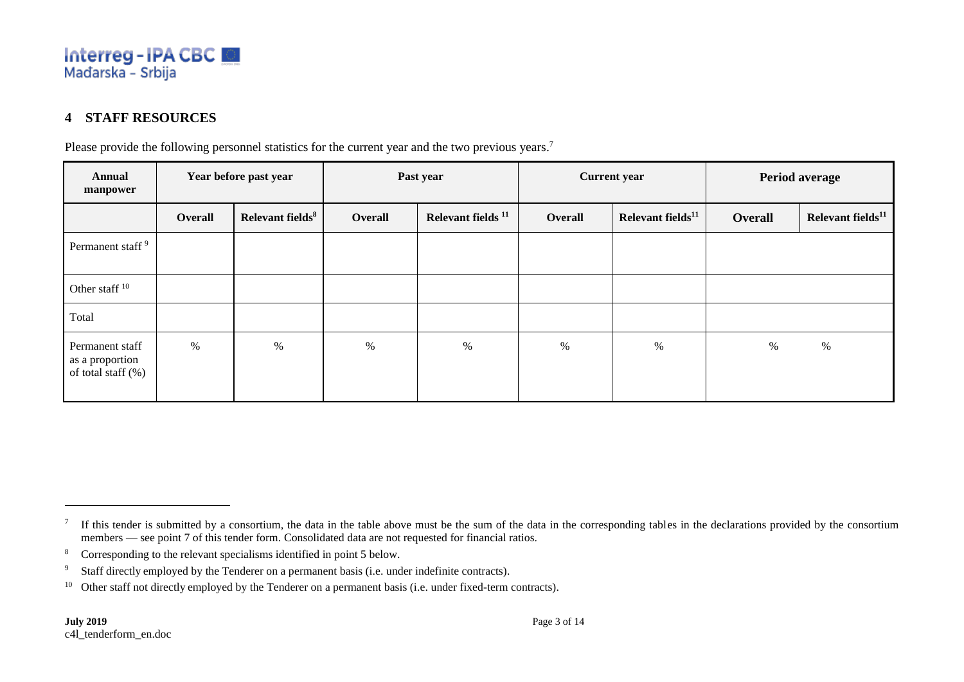

### **4 STAFF RESOURCES**

Please provide the following personnel statistics for the current year and the two previous years.<sup>7</sup>

| <b>Annual</b><br>manpower                                   |         | Year before past year        | Past year |                               | <b>Current year</b> |                               | Period average |                               |
|-------------------------------------------------------------|---------|------------------------------|-----------|-------------------------------|---------------------|-------------------------------|----------------|-------------------------------|
|                                                             | Overall | Relevant fields <sup>8</sup> | Overall   | Relevant fields <sup>11</sup> | Overall             | Relevant fields <sup>11</sup> | Overall        | Relevant fields <sup>11</sup> |
| Permanent staff <sup>9</sup>                                |         |                              |           |                               |                     |                               |                |                               |
| Other staff <sup>10</sup>                                   |         |                              |           |                               |                     |                               |                |                               |
| Total                                                       |         |                              |           |                               |                     |                               |                |                               |
| Permanent staff<br>as a proportion<br>of total staff $(\%)$ | $\%$    | %                            | %         | $\%$                          | $\%$                | $\%$                          | $\%$           | $\%$                          |

If this tender is submitted by a consortium, the data in the table above must be the sum of the data in the corresponding tables in the declarations provided by the consortium members — see point 7 of this tender form. Consolidated data are not requested for financial ratios.

<sup>8</sup> Corresponding to the relevant specialisms identified in point 5 below.

<sup>&</sup>lt;sup>9</sup> Staff directly employed by the Tenderer on a permanent basis (i.e. under indefinite contracts).

<sup>&</sup>lt;sup>10</sup> Other staff not directly employed by the Tenderer on a permanent basis (i.e. under fixed-term contracts).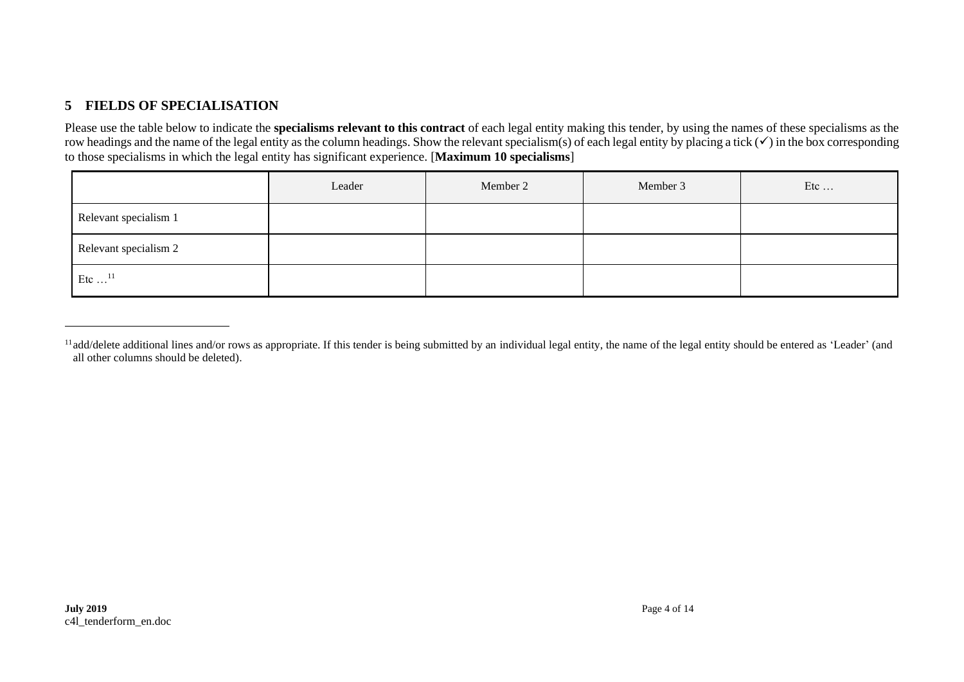### **5 FIELDS OF SPECIALISATION**

Please use the table below to indicate the **specialisms relevant to this contract** of each legal entity making this tender, by using the names of these specialisms as the row headings and the name of the legal entity as the column headings. Show the relevant specialism(s) of each legal entity by placing a tick (✓) in the box corresponding to those specialisms in which the legal entity has significant experience. [**Maximum 10 specialisms**]

|                           | Leader | Member 2 | Member 3 | Etc |
|---------------------------|--------|----------|----------|-----|
| Relevant specialism 1     |        |          |          |     |
| Relevant specialism 2     |        |          |          |     |
| Etc $\dots$ <sup>11</sup> |        |          |          |     |

<sup>&</sup>lt;sup>11</sup>add/delete additional lines and/or rows as appropriate. If this tender is being submitted by an individual legal entity, the name of the legal entity should be entered as 'Leader' (and all other columns should be deleted).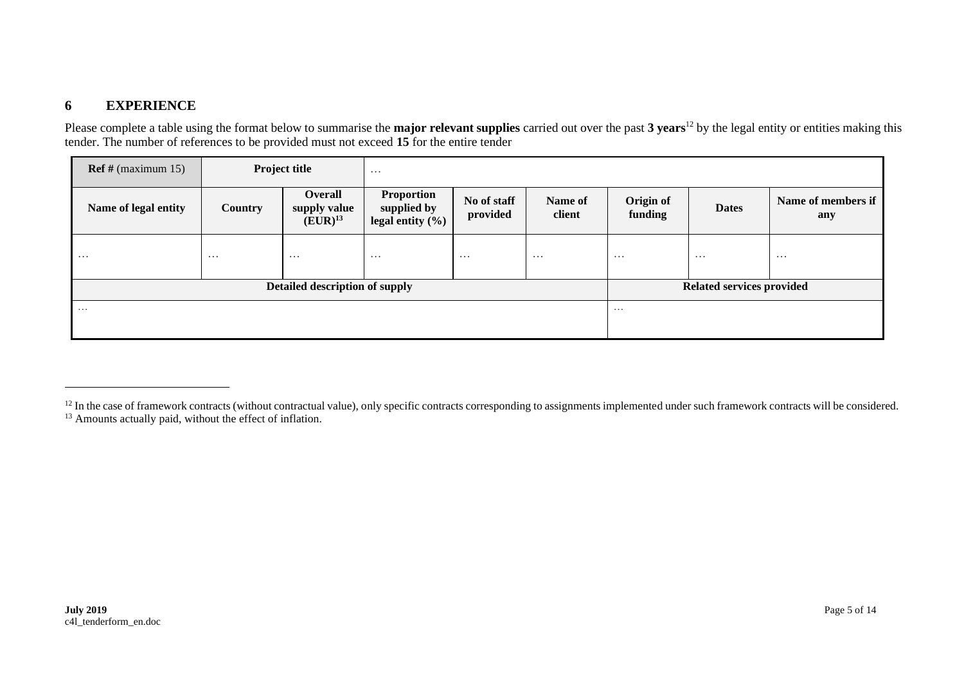### **6 EXPERIENCE**

Please complete a table using the format below to summarise the **major relevant supplies** carried out over the past **3 years**<sup>12</sup> by the legal entity or entities making this tender. The number of references to be provided must not exceed **15** for the entire tender

| $\text{Ref } \# \text{ (maximum 15)}$ |                | <b>Project title</b>                    | $\cdots$                                                 |                         |                   |                                  |              |                           |
|---------------------------------------|----------------|-----------------------------------------|----------------------------------------------------------|-------------------------|-------------------|----------------------------------|--------------|---------------------------|
| Name of legal entity                  | <b>Country</b> | Overall<br>supply value<br>$(EUR)^{13}$ | <b>Proportion</b><br>supplied by<br>legal entity $(\% )$ | No of staff<br>provided | Name of<br>client | Origin of<br>funding             | <b>Dates</b> | Name of members if<br>any |
| $\cdots$                              | $\cdots$       | .                                       | $\cdots$                                                 | $\cdots$                | $\cdots$          | $\cdots$                         | $\cdots$     | $\cdots$                  |
| Detailed description of supply        |                |                                         |                                                          |                         |                   | <b>Related services provided</b> |              |                           |
| $\cdots$                              |                |                                         |                                                          |                         | $\cdots$          |                                  |              |                           |

<sup>&</sup>lt;sup>12</sup> In the case of framework contracts (without contractual value), only specific contracts corresponding to assignments implemented under such framework contracts will be considered. <sup>13</sup> Amounts actually paid, without the effect of inflation.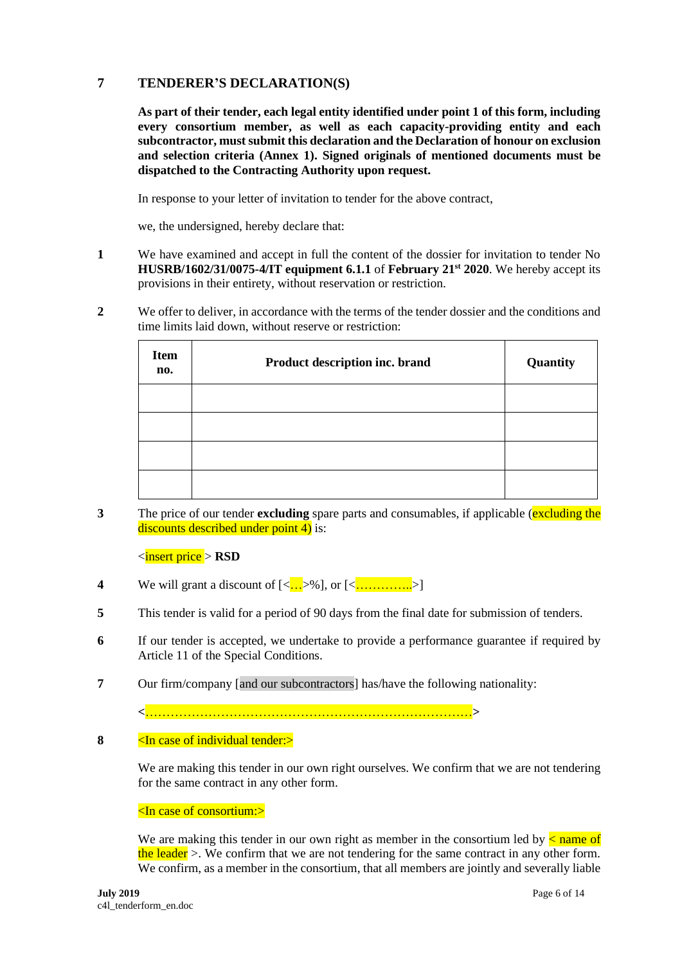### **7 TENDERER'S DECLARATION(S)**

**As part of their tender, each legal entity identified under point 1 of this form, including every consortium member, as well as each capacity-providing entity and each subcontractor, must submit this declaration and the Declaration of honour on exclusion and selection criteria (Annex 1). Signed originals of mentioned documents must be dispatched to the Contracting Authority upon request.**

In response to your letter of invitation to tender for the above contract,

we, the undersigned, hereby declare that:

- **1** We have examined and accept in full the content of the dossier for invitation to tender No **HUSRB/1602/31/0075-4/IT equipment 6.1.1** of **February 21st 2020**. We hereby accept its provisions in their entirety, without reservation or restriction.
- **2** We offer to deliver, in accordance with the terms of the tender dossier and the conditions and time limits laid down, without reserve or restriction:

| <b>Item</b><br>no. | Product description inc. brand | Quantity |
|--------------------|--------------------------------|----------|
|                    |                                |          |
|                    |                                |          |
|                    |                                |          |
|                    |                                |          |

**3** The price of our tender **excluding** spare parts and consumables, if applicable (**excluding the** discounts described under point 4) is:

<insert price > **RSD**

- **4** We will grant a discount of  $\langle \langle \cdot, \cdot \rangle \rangle$ , or  $\langle \langle \cdot, \cdot \rangle \rangle$
- **5** This tender is valid for a period of 90 days from the final date for submission of tenders.
- **6** If our tender is accepted, we undertake to provide a performance guarantee if required by Article 11 of the Special Conditions.
- **7** Our firm/company [and our subcontractors] has/have the following nationality:

**<**……………………………………………………………………**>**

**8**  $\leq$  **In case of individual tender:** 

We are making this tender in our own right ourselves. We confirm that we are not tendering for the same contract in any other form.

#### <In case of consortium:>

We are making this tender in our own right as member in the consortium led by  $\leq$  name of the leader  $>$ . We confirm that we are not tendering for the same contract in any other form. We confirm, as a member in the consortium, that all members are jointly and severally liable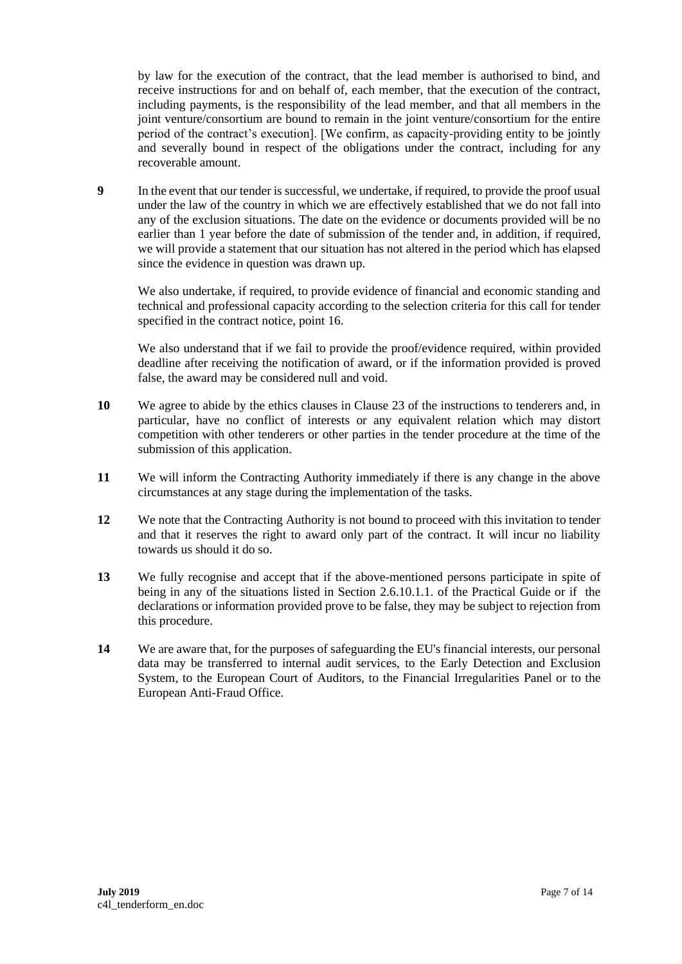by law for the execution of the contract, that the lead member is authorised to bind, and receive instructions for and on behalf of, each member, that the execution of the contract, including payments, is the responsibility of the lead member, and that all members in the joint venture/consortium are bound to remain in the joint venture/consortium for the entire period of the contract's execution]. [We confirm, as capacity-providing entity to be jointly and severally bound in respect of the obligations under the contract, including for any recoverable amount.

**9** In the event that our tender is successful, we undertake, if required, to provide the proof usual under the law of the country in which we are effectively established that we do not fall into any of the exclusion situations. The date on the evidence or documents provided will be no earlier than 1 year before the date of submission of the tender and, in addition, if required, we will provide a statement that our situation has not altered in the period which has elapsed since the evidence in question was drawn up.

We also undertake, if required, to provide evidence of financial and economic standing and technical and professional capacity according to the selection criteria for this call for tender specified in the contract notice, point 16.

We also understand that if we fail to provide the proof/evidence required, within provided deadline after receiving the notification of award, or if the information provided is proved false, the award may be considered null and void.

- **10** We agree to abide by the ethics clauses in Clause 23 of the instructions to tenderers and, in particular, have no conflict of interests or any equivalent relation which may distort competition with other tenderers or other parties in the tender procedure at the time of the submission of this application.
- **11** We will inform the Contracting Authority immediately if there is any change in the above circumstances at any stage during the implementation of the tasks.
- **12** We note that the Contracting Authority is not bound to proceed with this invitation to tender and that it reserves the right to award only part of the contract. It will incur no liability towards us should it do so.
- **13** We fully recognise and accept that if the above-mentioned persons participate in spite of being in any of the situations listed in Section 2.6.10.1.1. of the Practical Guide or if the declarations or information provided prove to be false, they may be subject to rejection from this procedure.
- **14** We are aware that, for the purposes of safeguarding the EU's financial interests, our personal data may be transferred to internal audit services, to the Early Detection and Exclusion System, to the European Court of Auditors, to the Financial Irregularities Panel or to the European Anti-Fraud Office.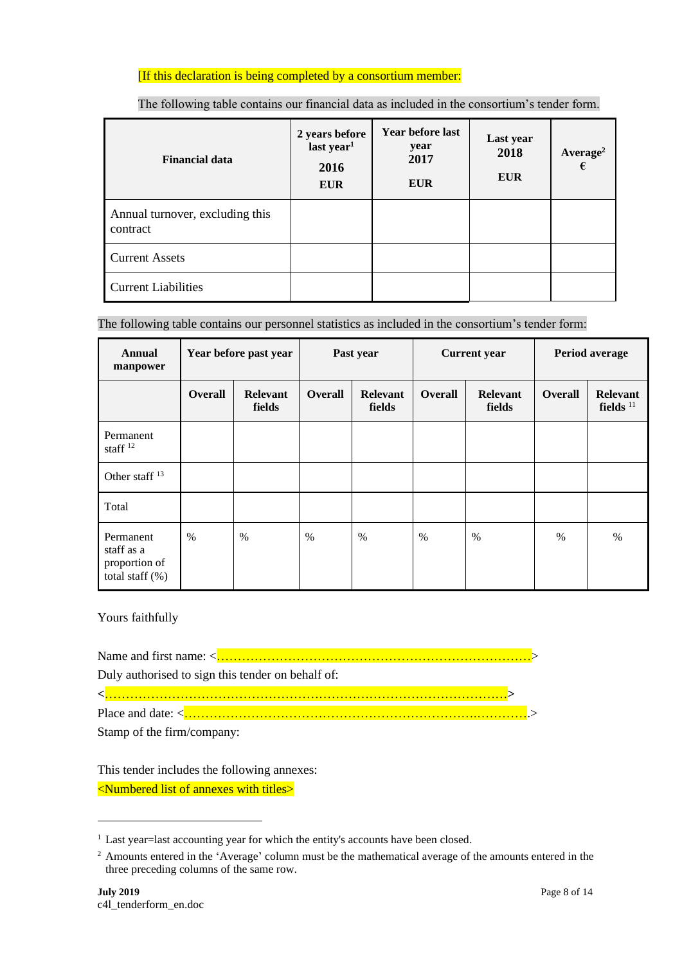### [If this declaration is being completed by a consortium member:

| <b>Financial data</b>                       | 2 years before<br>last year <sup>1</sup><br>2016<br><b>EUR</b> | Year before last<br>year<br>2017<br><b>EUR</b> | Last year<br>2018<br><b>EUR</b> | Average <sup>2</sup><br>€ |
|---------------------------------------------|----------------------------------------------------------------|------------------------------------------------|---------------------------------|---------------------------|
| Annual turnover, excluding this<br>contract |                                                                |                                                |                                 |                           |
| <b>Current Assets</b>                       |                                                                |                                                |                                 |                           |
| <b>Current Liabilities</b>                  |                                                                |                                                |                                 |                           |

The following table contains our financial data as included in the consortium's tender form.

The following table contains our personnel statistics as included in the consortium's tender form:

| Annual<br>manpower                                             |                | Year before past year     |                | Past year                 |         | <b>Current</b> year       |                | Period average                 |  |
|----------------------------------------------------------------|----------------|---------------------------|----------------|---------------------------|---------|---------------------------|----------------|--------------------------------|--|
|                                                                | <b>Overall</b> | <b>Relevant</b><br>fields | <b>Overall</b> | <b>Relevant</b><br>fields | Overall | <b>Relevant</b><br>fields | <b>Overall</b> | <b>Relevant</b><br>fields $11$ |  |
| Permanent<br>staff $12$                                        |                |                           |                |                           |         |                           |                |                                |  |
| Other staff <sup>13</sup>                                      |                |                           |                |                           |         |                           |                |                                |  |
| Total                                                          |                |                           |                |                           |         |                           |                |                                |  |
| Permanent<br>staff as a<br>proportion of<br>total staff $(\%)$ | $\%$           | $\%$                      | $\frac{0}{0}$  | $\%$                      | $\%$    | $\%$                      | $\%$           | $\%$                           |  |

Yours faithfully

Name and first name: <…………………………………………………………………>

Duly authorised to sign this tender on behalf of:

**<**……………………………………………………………………………………**>**

Place and date: <…………………………………………………………….………….>

Stamp of the firm/company:

This tender includes the following annexes:

<Numbered list of annexes with titles>

<sup>&</sup>lt;sup>1</sup> Last year=last accounting year for which the entity's accounts have been closed.

<sup>&</sup>lt;sup>2</sup> Amounts entered in the 'Average' column must be the mathematical average of the amounts entered in the three preceding columns of the same row.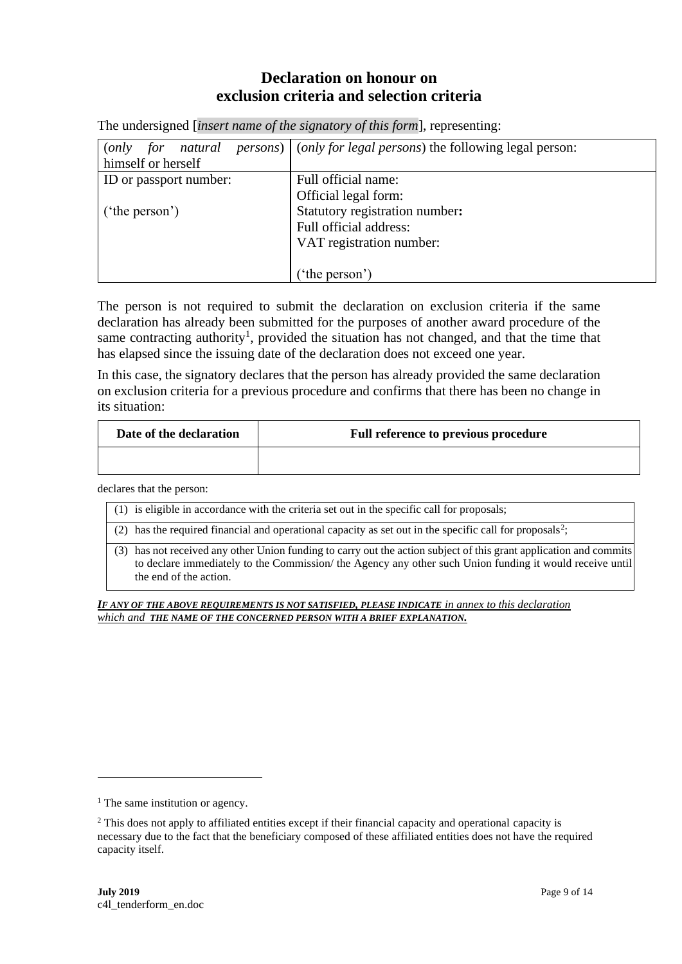## **Declaration on honour on exclusion criteria and selection criteria**

The undersigned [*insert name of the signatory of this form*], representing:

| natural<br>( <i>only</i> for | <i>persons</i> ) $\int$ ( <i>only for legal persons</i> ) the following legal person: |
|------------------------------|---------------------------------------------------------------------------------------|
| himself or herself           |                                                                                       |
| ID or passport number:       | Full official name:                                                                   |
|                              | Official legal form:                                                                  |
| $'$ the person')             | Statutory registration number:                                                        |
|                              | Full official address:                                                                |
|                              | VAT registration number:                                                              |
|                              |                                                                                       |
|                              | 'the person')                                                                         |

The person is not required to submit the declaration on exclusion criteria if the same declaration has already been submitted for the purposes of another award procedure of the same contracting authority<sup>1</sup>, provided the situation has not changed, and that the time that has elapsed since the issuing date of the declaration does not exceed one year.

In this case, the signatory declares that the person has already provided the same declaration on exclusion criteria for a previous procedure and confirms that there has been no change in its situation:

| Date of the declaration | Full reference to previous procedure |
|-------------------------|--------------------------------------|
|                         |                                      |

declares that the person:

- (1) is eligible in accordance with the criteria set out in the specific call for proposals;
- (2) has the required financial and operational capacity as set out in the specific call for proposals<sup>2</sup>;
- (3) has not received any other Union funding to carry out the action subject of this grant application and commits to declare immediately to the Commission/ the Agency any other such Union funding it would receive until the end of the action.

*IF ANY OF THE ABOVE REQUIREMENTS IS NOT SATISFIED, PLEASE INDICATE in annex to this declaration which and THE NAME OF THE CONCERNED PERSON WITH A BRIEF EXPLANATION.*

 $<sup>1</sup>$  The same institution or agency.</sup>

<sup>&</sup>lt;sup>2</sup> This does not apply to affiliated entities except if their financial capacity and operational capacity is necessary due to the fact that the beneficiary composed of these affiliated entities does not have the required capacity itself.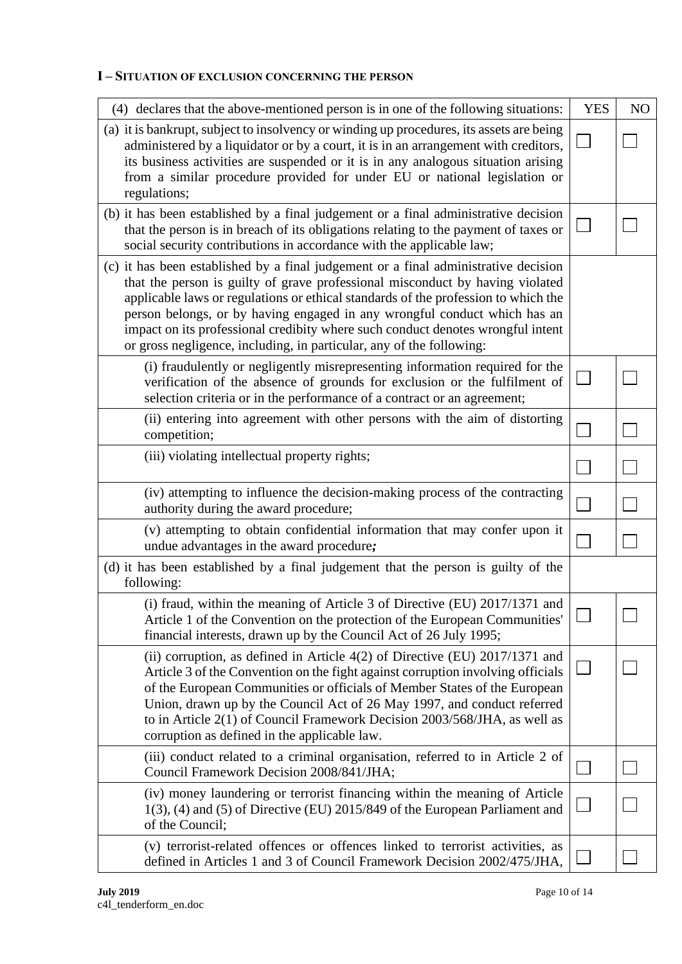### **I – SITUATION OF EXCLUSION CONCERNING THE PERSON**

| (4) declares that the above-mentioned person is in one of the following situations:                                                                                                                                                                                                                                                                                                                                                                                                                | <b>YES</b> | N <sub>O</sub> |
|----------------------------------------------------------------------------------------------------------------------------------------------------------------------------------------------------------------------------------------------------------------------------------------------------------------------------------------------------------------------------------------------------------------------------------------------------------------------------------------------------|------------|----------------|
| (a) it is bankrupt, subject to insolvency or winding up procedures, its assets are being<br>administered by a liquidator or by a court, it is in an arrangement with creditors,<br>its business activities are suspended or it is in any analogous situation arising<br>from a similar procedure provided for under EU or national legislation or<br>regulations;                                                                                                                                  |            |                |
| (b) it has been established by a final judgement or a final administrative decision<br>that the person is in breach of its obligations relating to the payment of taxes or<br>social security contributions in accordance with the applicable law;                                                                                                                                                                                                                                                 |            |                |
| (c) it has been established by a final judgement or a final administrative decision<br>that the person is guilty of grave professional misconduct by having violated<br>applicable laws or regulations or ethical standards of the profession to which the<br>person belongs, or by having engaged in any wrongful conduct which has an<br>impact on its professional credibity where such conduct denotes wrongful intent<br>or gross negligence, including, in particular, any of the following: |            |                |
| (i) fraudulently or negligently misrepresenting information required for the<br>verification of the absence of grounds for exclusion or the fulfilment of<br>selection criteria or in the performance of a contract or an agreement;                                                                                                                                                                                                                                                               |            |                |
| (ii) entering into agreement with other persons with the aim of distorting<br>competition;                                                                                                                                                                                                                                                                                                                                                                                                         |            |                |
| (iii) violating intellectual property rights;                                                                                                                                                                                                                                                                                                                                                                                                                                                      |            |                |
| (iv) attempting to influence the decision-making process of the contracting<br>authority during the award procedure;                                                                                                                                                                                                                                                                                                                                                                               |            |                |
| (v) attempting to obtain confidential information that may confer upon it<br>undue advantages in the award procedure;                                                                                                                                                                                                                                                                                                                                                                              |            |                |
| (d) it has been established by a final judgement that the person is guilty of the<br>following:                                                                                                                                                                                                                                                                                                                                                                                                    |            |                |
| (i) fraud, within the meaning of Article 3 of Directive (EU) 2017/1371 and<br>Article 1 of the Convention on the protection of the European Communities'<br>financial interests, drawn up by the Council Act of 26 July 1995;                                                                                                                                                                                                                                                                      |            |                |
| (ii) corruption, as defined in Article $4(2)$ of Directive (EU) 2017/1371 and<br>Article 3 of the Convention on the fight against corruption involving officials<br>of the European Communities or officials of Member States of the European<br>Union, drawn up by the Council Act of 26 May 1997, and conduct referred<br>to in Article 2(1) of Council Framework Decision 2003/568/JHA, as well as<br>corruption as defined in the applicable law.                                              |            |                |
| (iii) conduct related to a criminal organisation, referred to in Article 2 of<br>Council Framework Decision 2008/841/JHA;                                                                                                                                                                                                                                                                                                                                                                          |            |                |
| (iv) money laundering or terrorist financing within the meaning of Article<br>$1(3)$ , (4) and (5) of Directive (EU) 2015/849 of the European Parliament and<br>of the Council;                                                                                                                                                                                                                                                                                                                    |            |                |
| (v) terrorist-related offences or offences linked to terrorist activities, as<br>defined in Articles 1 and 3 of Council Framework Decision 2002/475/JHA,                                                                                                                                                                                                                                                                                                                                           |            |                |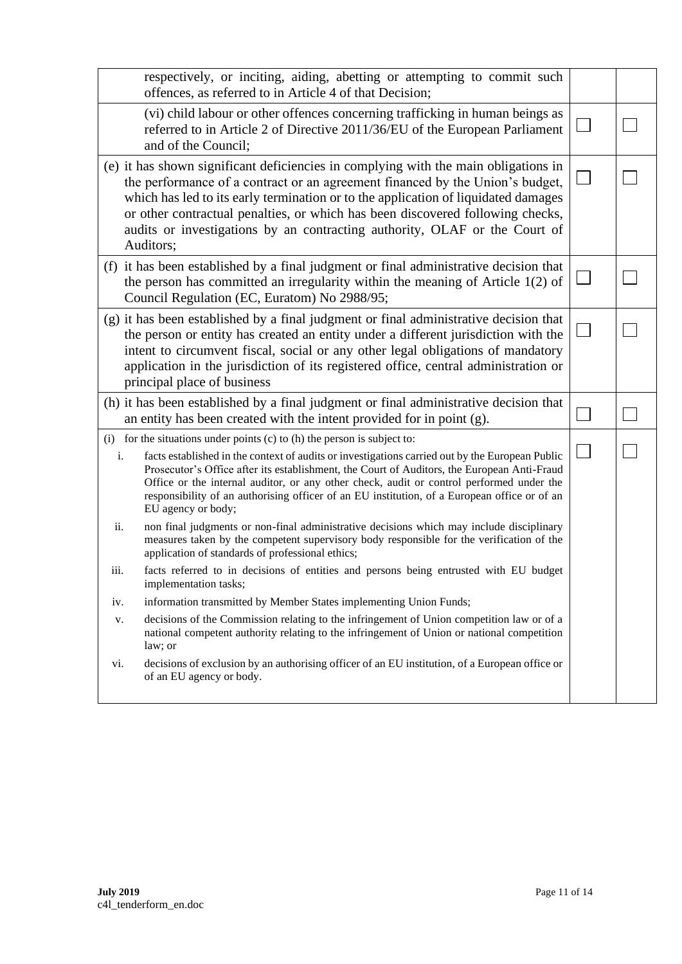| respectively, or inciting, aiding, abetting or attempting to commit such<br>offences, as referred to in Article 4 of that Decision;                                                                                                                                                                                                                                                                                                                                                                                                                                                                                                                                      |  |
|--------------------------------------------------------------------------------------------------------------------------------------------------------------------------------------------------------------------------------------------------------------------------------------------------------------------------------------------------------------------------------------------------------------------------------------------------------------------------------------------------------------------------------------------------------------------------------------------------------------------------------------------------------------------------|--|
| (vi) child labour or other offences concerning trafficking in human beings as<br>referred to in Article 2 of Directive 2011/36/EU of the European Parliament<br>and of the Council;                                                                                                                                                                                                                                                                                                                                                                                                                                                                                      |  |
| (e) it has shown significant deficiencies in complying with the main obligations in<br>the performance of a contract or an agreement financed by the Union's budget,<br>which has led to its early termination or to the application of liquidated damages<br>or other contractual penalties, or which has been discovered following checks,<br>audits or investigations by an contracting authority, OLAF or the Court of<br>Auditors;                                                                                                                                                                                                                                  |  |
| (f) it has been established by a final judgment or final administrative decision that<br>the person has committed an irregularity within the meaning of Article $1(2)$ of<br>Council Regulation (EC, Euratom) No 2988/95;                                                                                                                                                                                                                                                                                                                                                                                                                                                |  |
| (g) it has been established by a final judgment or final administrative decision that<br>the person or entity has created an entity under a different jurisdiction with the<br>intent to circumvent fiscal, social or any other legal obligations of mandatory<br>application in the jurisdiction of its registered office, central administration or<br>principal place of business                                                                                                                                                                                                                                                                                     |  |
| (h) it has been established by a final judgment or final administrative decision that<br>an entity has been created with the intent provided for in point $(g)$ .                                                                                                                                                                                                                                                                                                                                                                                                                                                                                                        |  |
| $(i)$ for the situations under points $(c)$ to $(h)$ the person is subject to:<br>i.<br>facts established in the context of audits or investigations carried out by the European Public<br>Prosecutor's Office after its establishment, the Court of Auditors, the European Anti-Fraud<br>Office or the internal auditor, or any other check, audit or control performed under the<br>responsibility of an authorising officer of an EU institution, of a European office or of an<br>EU agency or body;<br>ii.<br>non final judgments or non-final administrative decisions which may include disciplinary                                                              |  |
| measures taken by the competent supervisory body responsible for the verification of the<br>application of standards of professional ethics;<br>facts referred to in decisions of entities and persons being entrusted with EU budget<br>iii.<br>implementation tasks;<br>information transmitted by Member States implementing Union Funds;<br>iv.<br>decisions of the Commission relating to the infringement of Union competition law or of a<br>V.<br>national competent authority relating to the infringement of Union or national competition<br>law; or<br>decisions of exclusion by an authorising officer of an EU institution, of a European office or<br>vi. |  |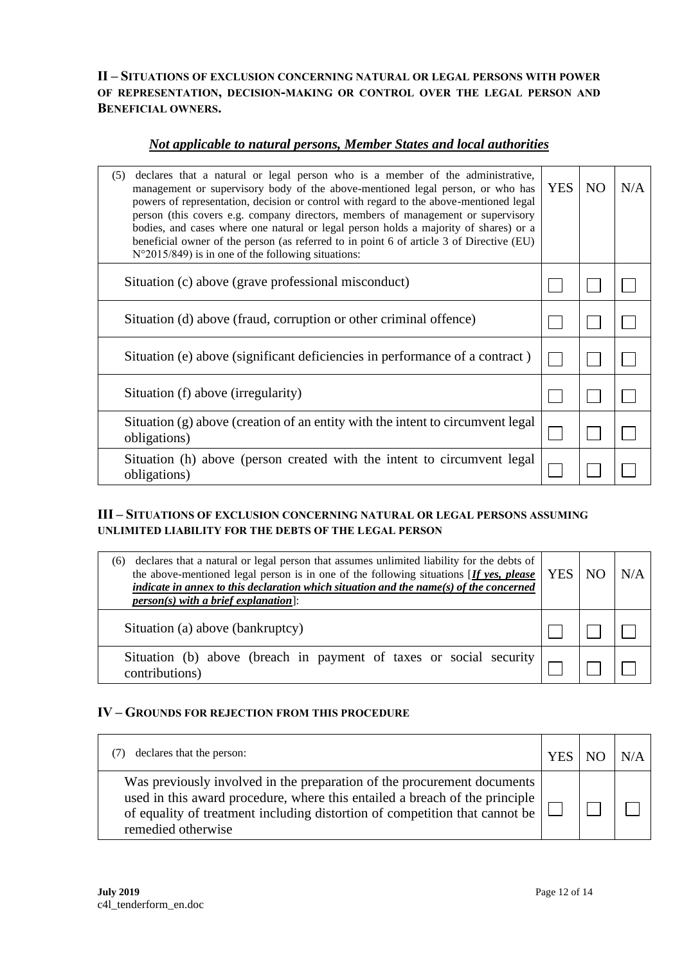**II – SITUATIONS OF EXCLUSION CONCERNING NATURAL OR LEGAL PERSONS WITH POWER OF REPRESENTATION, DECISION-MAKING OR CONTROL OVER THE LEGAL PERSON AND BENEFICIAL OWNERS.**

### *Not applicable to natural persons, Member States and local authorities*

| declares that a natural or legal person who is a member of the administrative,<br>(5)<br>management or supervisory body of the above-mentioned legal person, or who has<br>powers of representation, decision or control with regard to the above-mentioned legal<br>person (this covers e.g. company directors, members of management or supervisory<br>bodies, and cases where one natural or legal person holds a majority of shares) or a<br>beneficial owner of the person (as referred to in point 6 of article 3 of Directive (EU)<br>$N^{\circ}2015/849$ ) is in one of the following situations: | <b>YES</b> | NO <sub>1</sub> | N/A |
|-----------------------------------------------------------------------------------------------------------------------------------------------------------------------------------------------------------------------------------------------------------------------------------------------------------------------------------------------------------------------------------------------------------------------------------------------------------------------------------------------------------------------------------------------------------------------------------------------------------|------------|-----------------|-----|
| Situation (c) above (grave professional misconduct)                                                                                                                                                                                                                                                                                                                                                                                                                                                                                                                                                       |            |                 |     |
| Situation (d) above (fraud, corruption or other criminal offence)                                                                                                                                                                                                                                                                                                                                                                                                                                                                                                                                         |            |                 |     |
| Situation (e) above (significant deficiencies in performance of a contract)                                                                                                                                                                                                                                                                                                                                                                                                                                                                                                                               |            |                 |     |
| Situation (f) above (irregularity)                                                                                                                                                                                                                                                                                                                                                                                                                                                                                                                                                                        |            |                 |     |
| Situation (g) above (creation of an entity with the intent to circumvent legal<br>obligations)                                                                                                                                                                                                                                                                                                                                                                                                                                                                                                            |            |                 |     |
| Situation (h) above (person created with the intent to circumvent legal<br>obligations)                                                                                                                                                                                                                                                                                                                                                                                                                                                                                                                   |            |                 |     |

### **III – SITUATIONS OF EXCLUSION CONCERNING NATURAL OR LEGAL PERSONS ASSUMING UNLIMITED LIABILITY FOR THE DEBTS OF THE LEGAL PERSON**

| declares that a natural or legal person that assumes unlimited liability for the debts of<br>(6)<br>the above-mentioned legal person is in one of the following situations $[$ <i>If ves, please</i>   YES   NO<br>indicate in annex to this declaration which situation and the name(s) of the concerned<br>$person(s)$ with a brief explanation]: |  | N/A |
|-----------------------------------------------------------------------------------------------------------------------------------------------------------------------------------------------------------------------------------------------------------------------------------------------------------------------------------------------------|--|-----|
| Situation (a) above (bankruptcy)                                                                                                                                                                                                                                                                                                                    |  |     |
| Situation (b) above (breach in payment of taxes or social security $\vert$<br>contributions)                                                                                                                                                                                                                                                        |  |     |

### **IV – GROUNDS FOR REJECTION FROM THIS PROCEDURE**

| declares that the person:                                                                                                                                                                                                                                   | <b>YES</b> |  |
|-------------------------------------------------------------------------------------------------------------------------------------------------------------------------------------------------------------------------------------------------------------|------------|--|
| Was previously involved in the preparation of the procurement documents<br>used in this award procedure, where this entailed a breach of the principle<br>of equality of treatment including distortion of competition that cannot be<br>remedied otherwise |            |  |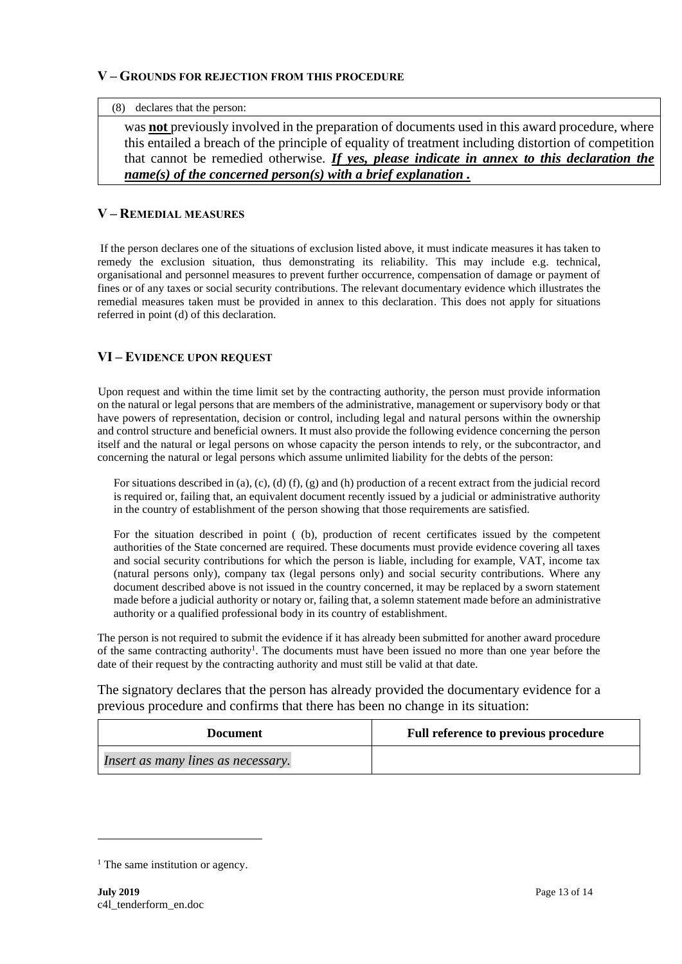#### **V – GROUNDS FOR REJECTION FROM THIS PROCEDURE**

#### (8) declares that the person:

was **not** previously involved in the preparation of documents used in this award procedure, where this entailed a breach of the principle of equality of treatment including distortion of competition that cannot be remedied otherwise. *If yes, please indicate in annex to this declaration the name(s) of the concerned person(s) with a brief explanation .*

### **V – REMEDIAL MEASURES**

If the person declares one of the situations of exclusion listed above, it must indicate measures it has taken to remedy the exclusion situation, thus demonstrating its reliability. This may include e.g. technical, organisational and personnel measures to prevent further occurrence, compensation of damage or payment of fines or of any taxes or social security contributions. The relevant documentary evidence which illustrates the remedial measures taken must be provided in annex to this declaration. This does not apply for situations referred in point (d) of this declaration.

### **VI – EVIDENCE UPON REQUEST**

Upon request and within the time limit set by the contracting authority, the person must provide information on the natural or legal persons that are members of the administrative, management or supervisory body or that have powers of representation, decision or control, including legal and natural persons within the ownership and control structure and beneficial owners. It must also provide the following evidence concerning the person itself and the natural or legal persons on whose capacity the person intends to rely, or the subcontractor, and concerning the natural or legal persons which assume unlimited liability for the debts of the person:

For situations described in (a), (c), (d) (f), (g) and (h) production of a recent extract from the judicial record is required or, failing that, an equivalent document recently issued by a judicial or administrative authority in the country of establishment of the person showing that those requirements are satisfied.

For the situation described in point ((b), production of recent certificates issued by the competent authorities of the State concerned are required. These documents must provide evidence covering all taxes and social security contributions for which the person is liable, including for example, VAT, income tax (natural persons only), company tax (legal persons only) and social security contributions. Where any document described above is not issued in the country concerned, it may be replaced by a sworn statement made before a judicial authority or notary or, failing that, a solemn statement made before an administrative authority or a qualified professional body in its country of establishment.

The person is not required to submit the evidence if it has already been submitted for another award procedure of the same contracting authority<sup>1</sup>. The documents must have been issued no more than one year before the date of their request by the contracting authority and must still be valid at that date.

The signatory declares that the person has already provided the documentary evidence for a previous procedure and confirms that there has been no change in its situation:

| Document                           | <b>Full reference to previous procedure</b> |
|------------------------------------|---------------------------------------------|
| Insert as many lines as necessary. |                                             |

 $<sup>1</sup>$  The same institution or agency.</sup>